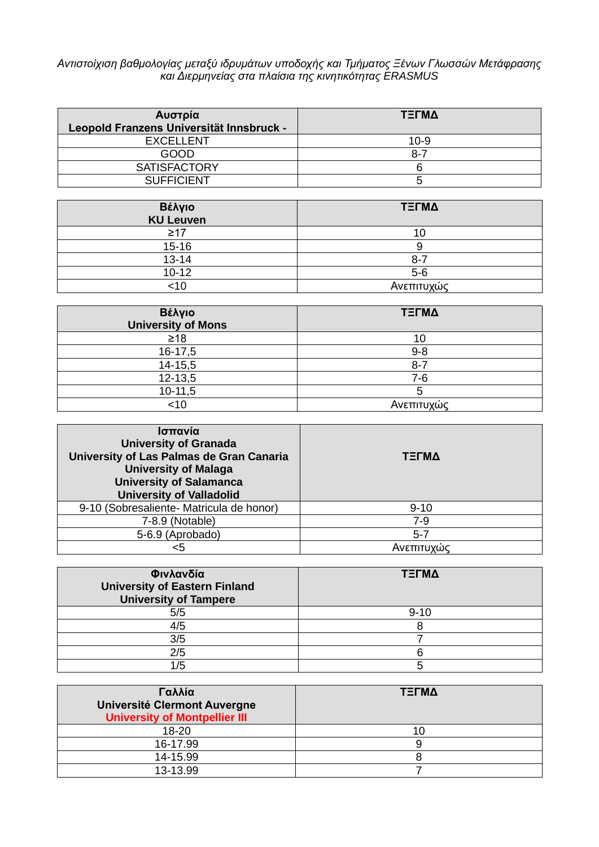## *Αντιστοίχιση βαθμολογίας μεταξύ ιδρυμάτων υποδοχής και Τμήματος Ξένων Γλωσσών Μετάφρασης και Διερμηνείας στα πλαίσια της κινητικότητας ERASMUS*

| Αυστρία<br>Leopold Franzens Universität Innsbruck - | ΤΞΓΜΔ    |
|-----------------------------------------------------|----------|
| <b>EXCELLENT</b>                                    | $10 - 9$ |
| GOOD                                                | 8-7      |
| <b>SATISFACTORY</b>                                 |          |
| <b>SUFFICIENT</b>                                   |          |

| Βέλγιο<br><b>KU Leuven</b> | ΤΞΓΜΔ      |
|----------------------------|------------|
| $\geq$ 17                  | 10         |
| $15 - 16$                  |            |
| $13 - 14$                  | $8 - 7$    |
| $10 - 12$                  | $5-6$      |
| 10>                        | Ανεπιτυχώς |

| Βέλγιο<br><b>University of Mons</b> | ΤΞΓΜΔ      |
|-------------------------------------|------------|
| $\geq 18$                           | 10         |
| 16-17,5                             | $9 - 8$    |
| $14 - 15,5$                         | $8 - 7$    |
| $12 - 13,5$                         | $7-6$      |
| $10-11,5$                           |            |
| $<$ 10                              | Ανεπιτυχώς |

| Ισπανία<br><b>University of Granada</b><br>University of Las Palmas de Gran Canaria<br><b>University of Malaga</b><br><b>University of Salamanca</b><br><b>University of Valladolid</b> | ΤΞΓΜΔ      |
|-----------------------------------------------------------------------------------------------------------------------------------------------------------------------------------------|------------|
| 9-10 (Sobresaliente- Matricula de honor)                                                                                                                                                | $9 - 10$   |
| 7-8.9 (Notable)                                                                                                                                                                         | $7-9$      |
| 5-6.9 (Aprobado)                                                                                                                                                                        | $5 - 7$    |
|                                                                                                                                                                                         | Ανεπιτυχώς |

| Φινλανδία<br><b>University of Eastern Finland</b><br><b>University of Tampere</b> | ΤΞΓΜΔ    |
|-----------------------------------------------------------------------------------|----------|
| 5/5                                                                               | $9 - 10$ |
| 4/5                                                                               |          |
| 3/5                                                                               |          |
| 2/5                                                                               |          |
| 1/5                                                                               |          |

| Γαλλία<br>Université Clermont Auvergne<br><b>University of Montpellier III</b> | ΤΞΓΜΔ |
|--------------------------------------------------------------------------------|-------|
| 18-20                                                                          |       |
| 16-17.99                                                                       |       |
| 14-15.99                                                                       |       |
| 13-13.99                                                                       |       |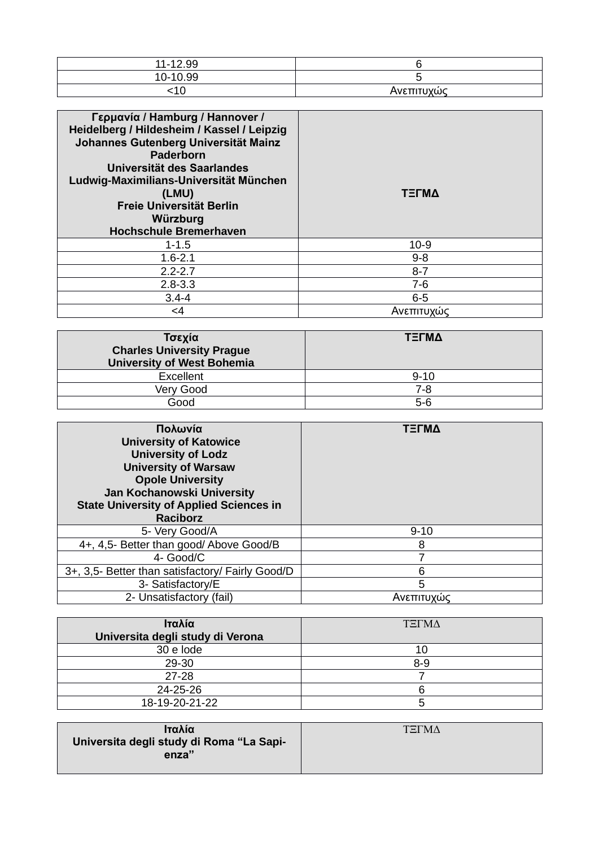| 11-12.99 |             |
|----------|-------------|
| 10-10.99 |             |
|          | Ανεπιτιινώς |

| Γερμανία / Hamburg / Hannover /<br>Heidelberg / Hildesheim / Kassel / Leipzig<br>Johannes Gutenberg Universität Mainz<br><b>Paderborn</b><br>Universität des Saarlandes<br>Ludwig-Maximilians-Universität München<br>(LMU)<br>Freie Universität Berlin<br>Würzburg<br><b>Hochschule Bremerhaven</b> | ΤΞΓΜΔ      |
|-----------------------------------------------------------------------------------------------------------------------------------------------------------------------------------------------------------------------------------------------------------------------------------------------------|------------|
| $1 - 1.5$                                                                                                                                                                                                                                                                                           | $10-9$     |
| $1.6 - 2.1$                                                                                                                                                                                                                                                                                         | $9 - 8$    |
| $2.2 - 2.7$                                                                                                                                                                                                                                                                                         | $8 - 7$    |
| $2.8 - 3.3$                                                                                                                                                                                                                                                                                         | $7-6$      |
| $3.4 - 4$                                                                                                                                                                                                                                                                                           | $6 - 5$    |
| $\leq$ 4                                                                                                                                                                                                                                                                                            | Ανεπιτυχώς |

| Τσεχία<br><b>Charles University Prague</b><br><b>University of West Bohemia</b> | ΤΞΓΜΔ    |
|---------------------------------------------------------------------------------|----------|
| Excellent                                                                       | $9 - 10$ |
| Very Good                                                                       | $7-8$    |
| Good                                                                            | $5-6$    |

| Πολωνία<br><b>University of Katowice</b><br><b>University of Lodz</b><br><b>University of Warsaw</b><br><b>Opole University</b><br>Jan Kochanowski University<br><b>State University of Applied Sciences in</b><br><b>Raciborz</b> | ΤΞΓΜΔ      |
|------------------------------------------------------------------------------------------------------------------------------------------------------------------------------------------------------------------------------------|------------|
| 5- Very Good/A                                                                                                                                                                                                                     | $9 - 10$   |
| 4+, 4,5- Better than good/Above Good/B                                                                                                                                                                                             | 8          |
| 4- Good/C                                                                                                                                                                                                                          | 7          |
| 3+, 3,5- Better than satisfactory/ Fairly Good/D                                                                                                                                                                                   | 6          |
| 3- Satisfactory/E                                                                                                                                                                                                                  | 5          |
| 2- Unsatisfactory (fail)                                                                                                                                                                                                           | Ανεπιτυχώς |

| Ιταλία<br>Universita degli study di Verona | <b>TELMA</b> |
|--------------------------------------------|--------------|
|                                            |              |
| 30 e lode                                  | 10           |
| 29-30                                      | $8 - 9$      |
| $27 - 28$                                  |              |
| 24-25-26                                   |              |
| 18-19-20-21-22                             | ວ            |

| Ιταλία                                   | ΤΞΓΜΔ |
|------------------------------------------|-------|
|                                          |       |
| Universita degli study di Roma "La Sapi- |       |
| enza"                                    |       |
|                                          |       |
|                                          |       |
|                                          |       |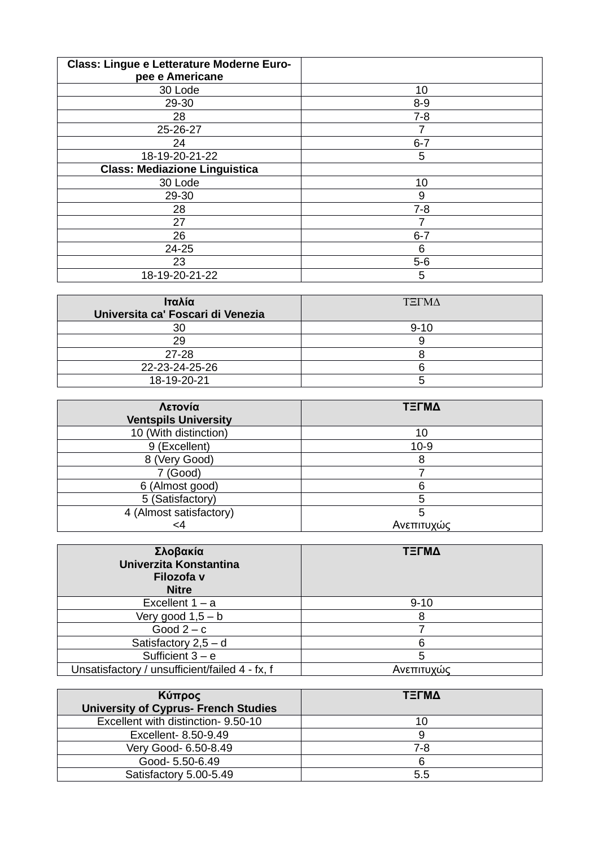| Class: Lingue e Letterature Moderne Euro-<br>pee e Americane |         |
|--------------------------------------------------------------|---------|
|                                                              |         |
| 30 Lode                                                      | 10      |
| 29-30                                                        | $8 - 9$ |
| 28                                                           | $7 - 8$ |
| 25-26-27                                                     | 7       |
| 24                                                           | $6 - 7$ |
| 18-19-20-21-22                                               | 5       |
| <b>Class: Mediazione Linguistica</b>                         |         |
| 30 Lode                                                      | 10      |
| 29-30                                                        | 9       |
| 28                                                           | $7 - 8$ |
| 27                                                           |         |
| 26                                                           | $6 - 7$ |
| 24-25                                                        | 6       |
| 23                                                           | $5-6$   |
| 18-19-20-21-22                                               | 5       |

| Ιταλία<br>Universita ca' Foscari di Venezia | <b>TELMA</b> |
|---------------------------------------------|--------------|
| 30                                          | $9 - 10$     |
| 29                                          |              |
| 27-28                                       |              |
| 22-23-24-25-26                              |              |
| 18-19-20-21                                 |              |

| Λετονία<br><b>Ventspils University</b> | ΤΞΓΜΔ      |
|----------------------------------------|------------|
| 10 (With distinction)                  | 10         |
| 9 (Excellent)                          | $10-9$     |
| 8 (Very Good)                          | 8          |
| 7 (Good)                               |            |
| 6 (Almost good)                        | հ          |
| 5 (Satisfactory)                       |            |
| 4 (Almost satisfactory)                |            |
| <4                                     | Ανεπιτυχώς |

| Σλοβακία<br>Univerzita Konstantina<br>Filozofa v<br><b>Nitre</b> | ΤΞΓΜΔ      |
|------------------------------------------------------------------|------------|
| Excellent $1 - a$                                                | $9 - 10$   |
| Very good $1,5 - b$                                              | 8          |
| Good $2-c$                                                       |            |
| Satisfactory $2,5 - d$                                           | հ          |
| Sufficient $3 - e$                                               | 5          |
| Unsatisfactory / unsufficient/failed 4 - fx, f                   | Ανεπιτυχώς |

| Κύπρος<br><b>University of Cyprus- French Studies</b> | ΤΞΓΜΔ |
|-------------------------------------------------------|-------|
| Excellent with distinction- 9.50-10                   | 10    |
| Excellent- 8.50-9.49                                  |       |
| Very Good- 6.50-8.49                                  | 7-8   |
| Good- 5.50-6.49                                       |       |
| Satisfactory 5.00-5.49                                | 5.5   |